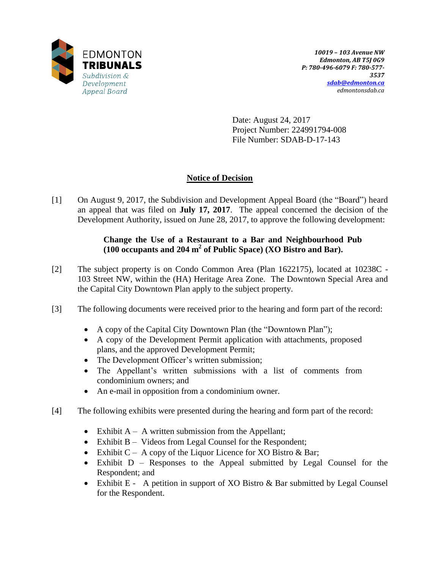

Date: August 24, 2017 Project Number: 224991794-008 File Number: SDAB-D-17-143

# **Notice of Decision**

[1] On August 9, 2017, the Subdivision and Development Appeal Board (the "Board") heard an appeal that was filed on **July 17, 2017**. The appeal concerned the decision of the Development Authority, issued on June 28, 2017, to approve the following development:

# **Change the Use of a Restaurant to a Bar and Neighbourhood Pub (100 occupants and 204 m<sup>2</sup> of Public Space) (XO Bistro and Bar).**

- [2] The subject property is on Condo Common Area (Plan 1622175), located at 10238C 103 Street NW, within the (HA) Heritage Area Zone. The Downtown Special Area and the Capital City Downtown Plan apply to the subject property.
- [3] The following documents were received prior to the hearing and form part of the record:
	- A copy of the Capital City Downtown Plan (the "Downtown Plan");
	- A copy of the Development Permit application with attachments, proposed plans, and the approved Development Permit;
	- The Development Officer's written submission;
	- The Appellant's written submissions with a list of comments from condominium owners; and
	- An e-mail in opposition from a condominium owner.
- [4] The following exhibits were presented during the hearing and form part of the record:
	- Exhibit  $A A$  written submission from the Appellant;
	- Exhibit B Videos from Legal Counsel for the Respondent;
	- Exhibit  $C A$  copy of the Liquor Licence for XO Bistro & Bar;
	- Exhibit D Responses to the Appeal submitted by Legal Counsel for the Respondent; and
	- Exhibit E A petition in support of XO Bistro & Bar submitted by Legal Counsel for the Respondent.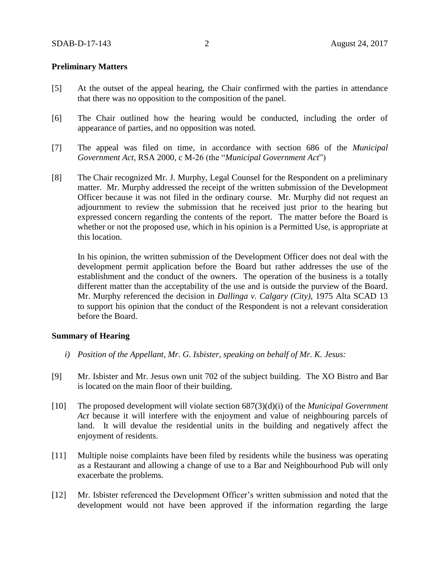#### **Preliminary Matters**

- [5] At the outset of the appeal hearing, the Chair confirmed with the parties in attendance that there was no opposition to the composition of the panel.
- [6] The Chair outlined how the hearing would be conducted, including the order of appearance of parties, and no opposition was noted.
- [7] The appeal was filed on time, in accordance with section 686 of the *Municipal Government Act*, RSA 2000, c M-26 (the "*Municipal Government Act*")
- [8] The Chair recognized Mr. J. Murphy, Legal Counsel for the Respondent on a preliminary matter. Mr. Murphy addressed the receipt of the written submission of the Development Officer because it was not filed in the ordinary course. Mr. Murphy did not request an adjournment to review the submission that he received just prior to the hearing but expressed concern regarding the contents of the report. The matter before the Board is whether or not the proposed use, which in his opinion is a Permitted Use, is appropriate at this location.

In his opinion, the written submission of the Development Officer does not deal with the development permit application before the Board but rather addresses the use of the establishment and the conduct of the owners. The operation of the business is a totally different matter than the acceptability of the use and is outside the purview of the Board. Mr. Murphy referenced the decision in *Dallinga v. Calgary (City),* 1975 Alta SCAD 13 to support his opinion that the conduct of the Respondent is not a relevant consideration before the Board.

#### **Summary of Hearing**

- *i) Position of the Appellant, Mr. G. Isbister, speaking on behalf of Mr. K. Jesus:*
- [9] Mr. Isbister and Mr. Jesus own unit 702 of the subject building. The XO Bistro and Bar is located on the main floor of their building.
- [10] The proposed development will violate section 687(3)(d)(i) of the *Municipal Government Act* because it will interfere with the enjoyment and value of neighbouring parcels of land. It will devalue the residential units in the building and negatively affect the enjoyment of residents.
- [11] Multiple noise complaints have been filed by residents while the business was operating as a Restaurant and allowing a change of use to a Bar and Neighbourhood Pub will only exacerbate the problems.
- [12] Mr. Isbister referenced the Development Officer's written submission and noted that the development would not have been approved if the information regarding the large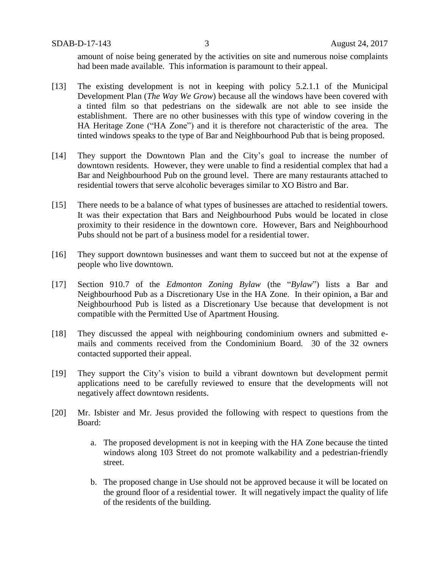amount of noise being generated by the activities on site and numerous noise complaints had been made available. This information is paramount to their appeal.

- [13] The existing development is not in keeping with policy 5.2.1.1 of the Municipal Development Plan (*The Way We Grow*) because all the windows have been covered with a tinted film so that pedestrians on the sidewalk are not able to see inside the establishment. There are no other businesses with this type of window covering in the HA Heritage Zone ("HA Zone") and it is therefore not characteristic of the area. The tinted windows speaks to the type of Bar and Neighbourhood Pub that is being proposed.
- [14] They support the Downtown Plan and the City's goal to increase the number of downtown residents. However, they were unable to find a residential complex that had a Bar and Neighbourhood Pub on the ground level. There are many restaurants attached to residential towers that serve alcoholic beverages similar to XO Bistro and Bar.
- [15] There needs to be a balance of what types of businesses are attached to residential towers. It was their expectation that Bars and Neighbourhood Pubs would be located in close proximity to their residence in the downtown core. However, Bars and Neighbourhood Pubs should not be part of a business model for a residential tower.
- [16] They support downtown businesses and want them to succeed but not at the expense of people who live downtown.
- [17] Section 910.7 of the *Edmonton Zoning Bylaw* (the "*Bylaw*") lists a Bar and Neighbourhood Pub as a Discretionary Use in the HA Zone. In their opinion, a Bar and Neighbourhood Pub is listed as a Discretionary Use because that development is not compatible with the Permitted Use of Apartment Housing.
- [18] They discussed the appeal with neighbouring condominium owners and submitted emails and comments received from the Condominium Board. 30 of the 32 owners contacted supported their appeal.
- [19] They support the City's vision to build a vibrant downtown but development permit applications need to be carefully reviewed to ensure that the developments will not negatively affect downtown residents.
- [20] Mr. Isbister and Mr. Jesus provided the following with respect to questions from the Board:
	- a. The proposed development is not in keeping with the HA Zone because the tinted windows along 103 Street do not promote walkability and a pedestrian-friendly street.
	- b. The proposed change in Use should not be approved because it will be located on the ground floor of a residential tower. It will negatively impact the quality of life of the residents of the building.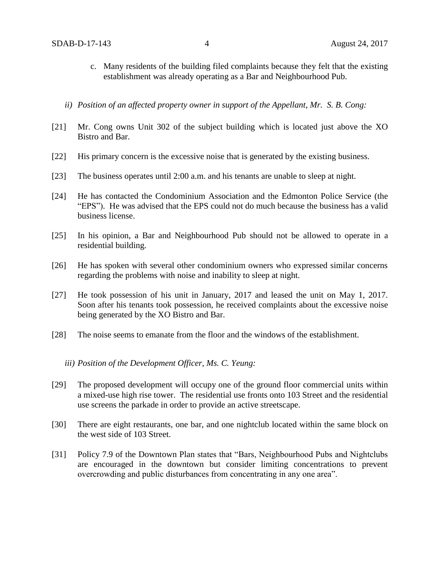- c. Many residents of the building filed complaints because they felt that the existing establishment was already operating as a Bar and Neighbourhood Pub.
- *ii) Position of an affected property owner in support of the Appellant, Mr. S. B. Cong:*
- [21] Mr. Cong owns Unit 302 of the subject building which is located just above the XO Bistro and Bar.
- [22] His primary concern is the excessive noise that is generated by the existing business.
- [23] The business operates until 2:00 a.m. and his tenants are unable to sleep at night.
- [24] He has contacted the Condominium Association and the Edmonton Police Service (the "EPS"). He was advised that the EPS could not do much because the business has a valid business license.
- [25] In his opinion, a Bar and Neighbourhood Pub should not be allowed to operate in a residential building.
- [26] He has spoken with several other condominium owners who expressed similar concerns regarding the problems with noise and inability to sleep at night.
- [27] He took possession of his unit in January, 2017 and leased the unit on May 1, 2017. Soon after his tenants took possession, he received complaints about the excessive noise being generated by the XO Bistro and Bar.
- [28] The noise seems to emanate from the floor and the windows of the establishment.

#### *iii) Position of the Development Officer, Ms. C. Yeung:*

- [29] The proposed development will occupy one of the ground floor commercial units within a mixed-use high rise tower. The residential use fronts onto 103 Street and the residential use screens the parkade in order to provide an active streetscape.
- [30] There are eight restaurants, one bar, and one nightclub located within the same block on the west side of 103 Street.
- [31] Policy 7.9 of the Downtown Plan states that "Bars, Neighbourhood Pubs and Nightclubs are encouraged in the downtown but consider limiting concentrations to prevent overcrowding and public disturbances from concentrating in any one area".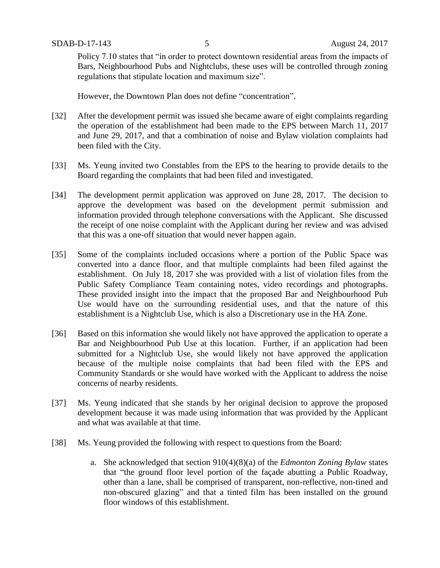Policy 7.10 states that "in order to protect downtown residential areas from the impacts of Bars, Neighbourhood Pubs and Nightclubs, these uses will be controlled through zoning regulations that stipulate location and maximum size".

However, the Downtown Plan does not define "concentration".

- [32] After the development permit was issued she became aware of eight complaints regarding the operation of the establishment had been made to the EPS between March 11, 2017 and June 29, 2017, and that a combination of noise and Bylaw violation complaints had been filed with the City.
- [33] Ms. Yeung invited two Constables from the EPS to the hearing to provide details to the Board regarding the complaints that had been filed and investigated.
- [34] The development permit application was approved on June 28, 2017. The decision to approve the development was based on the development permit submission and information provided through telephone conversations with the Applicant. She discussed the receipt of one noise complaint with the Applicant during her review and was advised that this was a one-off situation that would never happen again.
- [35] Some of the complaints included occasions where a portion of the Public Space was converted into a dance floor, and that multiple complaints had been filed against the establishment. On July 18, 2017 she was provided with a list of violation files from the Public Safety Compliance Team containing notes, video recordings and photographs. These provided insight into the impact that the proposed Bar and Neighbourhood Pub Use would have on the surrounding residential uses, and that the nature of this establishment is a Nightclub Use, which is also a Discretionary use in the HA Zone.
- [36] Based on this information she would likely not have approved the application to operate a Bar and Neighbourhood Pub Use at this location. Further, if an application had been submitted for a Nightclub Use, she would likely not have approved the application because of the multiple noise complaints that had been filed with the EPS and Community Standards or she would have worked with the Applicant to address the noise concerns of nearby residents.
- [37] Ms. Yeung indicated that she stands by her original decision to approve the proposed development because it was made using information that was provided by the Applicant and what was available at that time.
- [38] Ms. Yeung provided the following with respect to questions from the Board:
	- a. She acknowledged that section 910(4)(8)(a) of the *Edmonton Zoning Bylaw* states that "the ground floor level portion of the façade abutting a Public Roadway, other than a lane, shall be comprised of transparent, non-reflective, non-tined and non-obscured glazing" and that a tinted film has been installed on the ground floor windows of this establishment.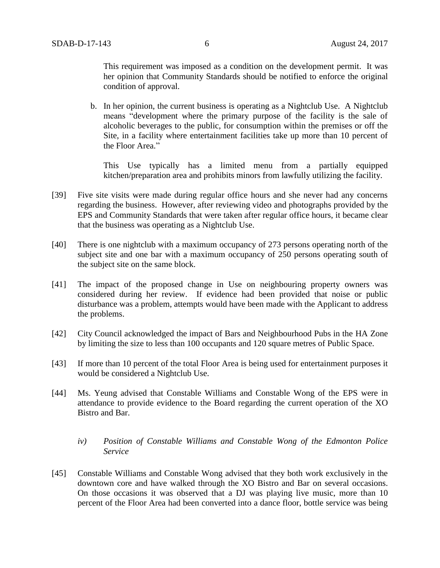This requirement was imposed as a condition on the development permit. It was her opinion that Community Standards should be notified to enforce the original condition of approval.

b. In her opinion, the current business is operating as a Nightclub Use. A Nightclub means "development where the primary purpose of the facility is the sale of alcoholic beverages to the public, for consumption within the premises or off the Site, in a facility where entertainment facilities take up more than 10 percent of the Floor Area."

This Use typically has a limited menu from a partially equipped kitchen/preparation area and prohibits minors from lawfully utilizing the facility.

- [39] Five site visits were made during regular office hours and she never had any concerns regarding the business. However, after reviewing video and photographs provided by the EPS and Community Standards that were taken after regular office hours, it became clear that the business was operating as a Nightclub Use.
- [40] There is one nightclub with a maximum occupancy of 273 persons operating north of the subject site and one bar with a maximum occupancy of 250 persons operating south of the subject site on the same block.
- [41] The impact of the proposed change in Use on neighbouring property owners was considered during her review. If evidence had been provided that noise or public disturbance was a problem, attempts would have been made with the Applicant to address the problems.
- [42] City Council acknowledged the impact of Bars and Neighbourhood Pubs in the HA Zone by limiting the size to less than 100 occupants and 120 square metres of Public Space.
- [43] If more than 10 percent of the total Floor Area is being used for entertainment purposes it would be considered a Nightclub Use.
- [44] Ms. Yeung advised that Constable Williams and Constable Wong of the EPS were in attendance to provide evidence to the Board regarding the current operation of the XO Bistro and Bar.
	- *iv) Position of Constable Williams and Constable Wong of the Edmonton Police Service*
- [45] Constable Williams and Constable Wong advised that they both work exclusively in the downtown core and have walked through the XO Bistro and Bar on several occasions. On those occasions it was observed that a DJ was playing live music, more than 10 percent of the Floor Area had been converted into a dance floor, bottle service was being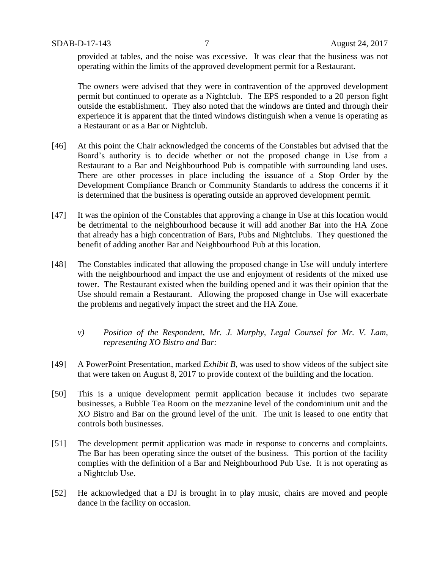provided at tables, and the noise was excessive. It was clear that the business was not operating within the limits of the approved development permit for a Restaurant.

The owners were advised that they were in contravention of the approved development permit but continued to operate as a Nightclub. The EPS responded to a 20 person fight outside the establishment. They also noted that the windows are tinted and through their experience it is apparent that the tinted windows distinguish when a venue is operating as a Restaurant or as a Bar or Nightclub.

- [46] At this point the Chair acknowledged the concerns of the Constables but advised that the Board's authority is to decide whether or not the proposed change in Use from a Restaurant to a Bar and Neighbourhood Pub is compatible with surrounding land uses. There are other processes in place including the issuance of a Stop Order by the Development Compliance Branch or Community Standards to address the concerns if it is determined that the business is operating outside an approved development permit.
- [47] It was the opinion of the Constables that approving a change in Use at this location would be detrimental to the neighbourhood because it will add another Bar into the HA Zone that already has a high concentration of Bars, Pubs and Nightclubs. They questioned the benefit of adding another Bar and Neighbourhood Pub at this location.
- [48] The Constables indicated that allowing the proposed change in Use will unduly interfere with the neighbourhood and impact the use and enjoyment of residents of the mixed use tower. The Restaurant existed when the building opened and it was their opinion that the Use should remain a Restaurant. Allowing the proposed change in Use will exacerbate the problems and negatively impact the street and the HA Zone.
	- *v) Position of the Respondent, Mr. J. Murphy, Legal Counsel for Mr. V. Lam, representing XO Bistro and Bar:*
- [49] A PowerPoint Presentation, marked *Exhibit B*, was used to show videos of the subject site that were taken on August 8, 2017 to provide context of the building and the location.
- [50] This is a unique development permit application because it includes two separate businesses, a Bubble Tea Room on the mezzanine level of the condominium unit and the XO Bistro and Bar on the ground level of the unit. The unit is leased to one entity that controls both businesses.
- [51] The development permit application was made in response to concerns and complaints. The Bar has been operating since the outset of the business. This portion of the facility complies with the definition of a Bar and Neighbourhood Pub Use. It is not operating as a Nightclub Use.
- [52] He acknowledged that a DJ is brought in to play music, chairs are moved and people dance in the facility on occasion.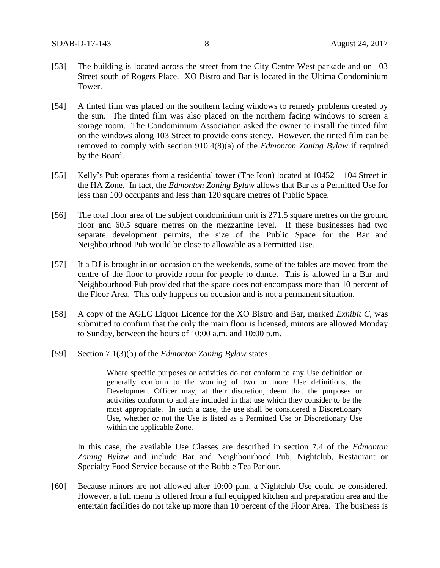- [53] The building is located across the street from the City Centre West parkade and on 103 Street south of Rogers Place. XO Bistro and Bar is located in the Ultima Condominium Tower.
- [54] A tinted film was placed on the southern facing windows to remedy problems created by the sun. The tinted film was also placed on the northern facing windows to screen a storage room. The Condominium Association asked the owner to install the tinted film on the windows along 103 Street to provide consistency. However, the tinted film can be removed to comply with section 910.4(8)(a) of the *Edmonton Zoning Bylaw* if required by the Board.
- [55] Kelly's Pub operates from a residential tower (The Icon) located at 10452 104 Street in the HA Zone. In fact, the *Edmonton Zoning Bylaw* allows that Bar as a Permitted Use for less than 100 occupants and less than 120 square metres of Public Space.
- [56] The total floor area of the subject condominium unit is 271.5 square metres on the ground floor and 60.5 square metres on the mezzanine level. If these businesses had two separate development permits, the size of the Public Space for the Bar and Neighbourhood Pub would be close to allowable as a Permitted Use.
- [57] If a DJ is brought in on occasion on the weekends, some of the tables are moved from the centre of the floor to provide room for people to dance. This is allowed in a Bar and Neighbourhood Pub provided that the space does not encompass more than 10 percent of the Floor Area. This only happens on occasion and is not a permanent situation.
- [58] A copy of the AGLC Liquor Licence for the XO Bistro and Bar, marked *Exhibit C*, was submitted to confirm that the only the main floor is licensed, minors are allowed Monday to Sunday, between the hours of 10:00 a.m. and 10:00 p.m.
- [59] Section 7.1(3)(b) of the *Edmonton Zoning Bylaw* states:

Where specific purposes or activities do not conform to any Use definition or generally conform to the wording of two or more Use definitions, the Development Officer may, at their discretion, deem that the purposes or activities conform to and are included in that use which they consider to be the most appropriate. In such a case, the use shall be considered a Discretionary Use, whether or not the Use is listed as a Permitted Use or Discretionary Use within the applicable Zone.

In this case, the available Use Classes are described in section 7.4 of the *Edmonton Zoning Bylaw* and include Bar and Neighbourhood Pub, Nightclub, Restaurant or Specialty Food Service because of the Bubble Tea Parlour.

[60] Because minors are not allowed after 10:00 p.m. a Nightclub Use could be considered. However, a full menu is offered from a full equipped kitchen and preparation area and the entertain facilities do not take up more than 10 percent of the Floor Area. The business is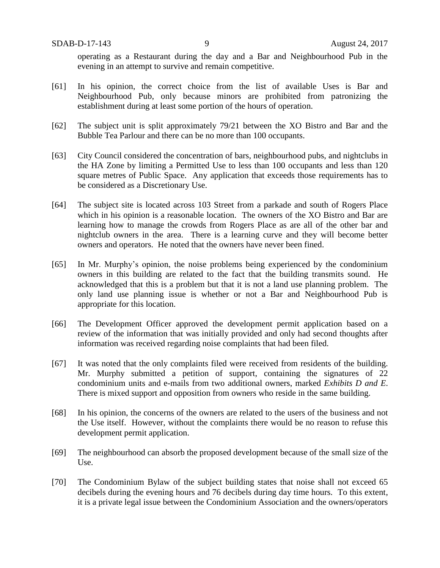operating as a Restaurant during the day and a Bar and Neighbourhood Pub in the evening in an attempt to survive and remain competitive.

- [61] In his opinion, the correct choice from the list of available Uses is Bar and Neighbourhood Pub, only because minors are prohibited from patronizing the establishment during at least some portion of the hours of operation.
- [62] The subject unit is split approximately 79/21 between the XO Bistro and Bar and the Bubble Tea Parlour and there can be no more than 100 occupants.
- [63] City Council considered the concentration of bars, neighbourhood pubs, and nightclubs in the HA Zone by limiting a Permitted Use to less than 100 occupants and less than 120 square metres of Public Space. Any application that exceeds those requirements has to be considered as a Discretionary Use.
- [64] The subject site is located across 103 Street from a parkade and south of Rogers Place which in his opinion is a reasonable location. The owners of the XO Bistro and Bar are learning how to manage the crowds from Rogers Place as are all of the other bar and nightclub owners in the area. There is a learning curve and they will become better owners and operators. He noted that the owners have never been fined.
- [65] In Mr. Murphy's opinion, the noise problems being experienced by the condominium owners in this building are related to the fact that the building transmits sound. He acknowledged that this is a problem but that it is not a land use planning problem. The only land use planning issue is whether or not a Bar and Neighbourhood Pub is appropriate for this location.
- [66] The Development Officer approved the development permit application based on a review of the information that was initially provided and only had second thoughts after information was received regarding noise complaints that had been filed.
- [67] It was noted that the only complaints filed were received from residents of the building. Mr. Murphy submitted a petition of support, containing the signatures of 22 condominium units and e-mails from two additional owners, marked *Exhibits D and E*. There is mixed support and opposition from owners who reside in the same building.
- [68] In his opinion, the concerns of the owners are related to the users of the business and not the Use itself. However, without the complaints there would be no reason to refuse this development permit application.
- [69] The neighbourhood can absorb the proposed development because of the small size of the Use.
- [70] The Condominium Bylaw of the subject building states that noise shall not exceed 65 decibels during the evening hours and 76 decibels during day time hours. To this extent, it is a private legal issue between the Condominium Association and the owners/operators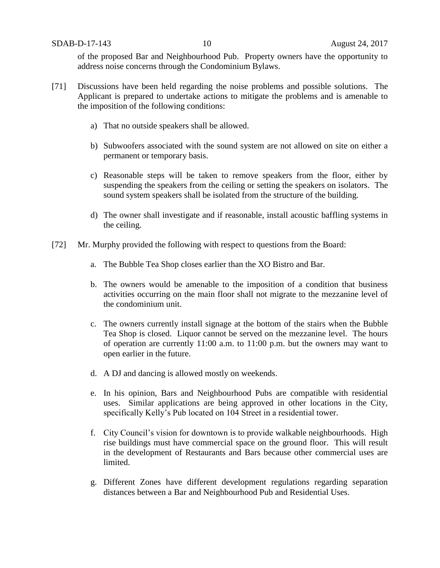of the proposed Bar and Neighbourhood Pub. Property owners have the opportunity to address noise concerns through the Condominium Bylaws.

- [71] Discussions have been held regarding the noise problems and possible solutions. The Applicant is prepared to undertake actions to mitigate the problems and is amenable to the imposition of the following conditions:
	- a) That no outside speakers shall be allowed.
	- b) Subwoofers associated with the sound system are not allowed on site on either a permanent or temporary basis.
	- c) Reasonable steps will be taken to remove speakers from the floor, either by suspending the speakers from the ceiling or setting the speakers on isolators. The sound system speakers shall be isolated from the structure of the building.
	- d) The owner shall investigate and if reasonable, install acoustic baffling systems in the ceiling.
- [72] Mr. Murphy provided the following with respect to questions from the Board:
	- a. The Bubble Tea Shop closes earlier than the XO Bistro and Bar.
	- b. The owners would be amenable to the imposition of a condition that business activities occurring on the main floor shall not migrate to the mezzanine level of the condominium unit.
	- c. The owners currently install signage at the bottom of the stairs when the Bubble Tea Shop is closed. Liquor cannot be served on the mezzanine level. The hours of operation are currently 11:00 a.m. to 11:00 p.m. but the owners may want to open earlier in the future.
	- d. A DJ and dancing is allowed mostly on weekends.
	- e. In his opinion, Bars and Neighbourhood Pubs are compatible with residential uses. Similar applications are being approved in other locations in the City, specifically Kelly's Pub located on 104 Street in a residential tower.
	- f. City Council's vision for downtown is to provide walkable neighbourhoods. High rise buildings must have commercial space on the ground floor. This will result in the development of Restaurants and Bars because other commercial uses are limited.
	- g. Different Zones have different development regulations regarding separation distances between a Bar and Neighbourhood Pub and Residential Uses.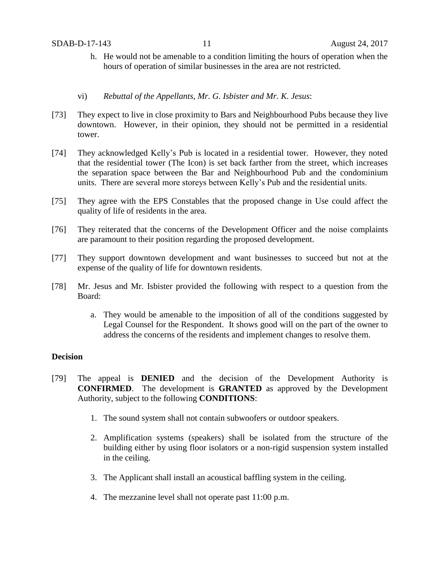- h. He would not be amenable to a condition limiting the hours of operation when the hours of operation of similar businesses in the area are not restricted.
- vi) *Rebuttal of the Appellants, Mr. G. Isbister and Mr. K. Jesus*:
- [73] They expect to live in close proximity to Bars and Neighbourhood Pubs because they live downtown. However, in their opinion, they should not be permitted in a residential tower.
- [74] They acknowledged Kelly's Pub is located in a residential tower. However, they noted that the residential tower (The Icon) is set back farther from the street, which increases the separation space between the Bar and Neighbourhood Pub and the condominium units. There are several more storeys between Kelly's Pub and the residential units.
- [75] They agree with the EPS Constables that the proposed change in Use could affect the quality of life of residents in the area.
- [76] They reiterated that the concerns of the Development Officer and the noise complaints are paramount to their position regarding the proposed development.
- [77] They support downtown development and want businesses to succeed but not at the expense of the quality of life for downtown residents.
- [78] Mr. Jesus and Mr. Isbister provided the following with respect to a question from the Board:
	- a. They would be amenable to the imposition of all of the conditions suggested by Legal Counsel for the Respondent. It shows good will on the part of the owner to address the concerns of the residents and implement changes to resolve them.

## **Decision**

- [79] The appeal is **DENIED** and the decision of the Development Authority is **CONFIRMED**. The development is **GRANTED** as approved by the Development Authority, subject to the following **CONDITIONS**:
	- 1. The sound system shall not contain subwoofers or outdoor speakers.
	- 2. Amplification systems (speakers) shall be isolated from the structure of the building either by using floor isolators or a non-rigid suspension system installed in the ceiling.
	- 3. The Applicant shall install an acoustical baffling system in the ceiling.
	- 4. The mezzanine level shall not operate past 11:00 p.m.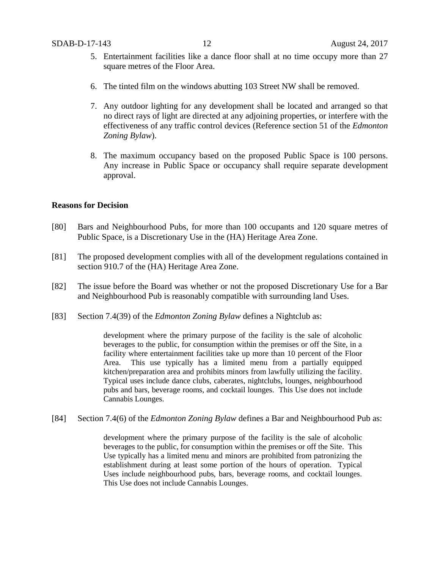- 5. Entertainment facilities like a dance floor shall at no time occupy more than 27 square metres of the Floor Area.
- 6. The tinted film on the windows abutting 103 Street NW shall be removed.
- 7. Any outdoor lighting for any development shall be located and arranged so that no direct rays of light are directed at any adjoining properties, or interfere with the effectiveness of any traffic control devices (Reference section 51 of the *Edmonton Zoning Bylaw*).
- 8. The maximum occupancy based on the proposed Public Space is 100 persons. Any increase in Public Space or occupancy shall require separate development approval.

### **Reasons for Decision**

- [80] Bars and Neighbourhood Pubs, for more than 100 occupants and 120 square metres of Public Space, is a Discretionary Use in the (HA) Heritage Area Zone.
- [81] The proposed development complies with all of the development regulations contained in section 910.7 of the (HA) Heritage Area Zone.
- [82] The issue before the Board was whether or not the proposed Discretionary Use for a Bar and Neighbourhood Pub is reasonably compatible with surrounding land Uses.
- [83] Section 7.4(39) of the *Edmonton Zoning Bylaw* defines a Nightclub as:

development where the primary purpose of the facility is the sale of alcoholic beverages to the public, for consumption within the premises or off the Site, in a facility where entertainment facilities take up more than 10 percent of the Floor Area. This use typically has a limited menu from a partially equipped kitchen/preparation area and prohibits minors from lawfully utilizing the facility. Typical uses include dance clubs, caberates, nightclubs, lounges, neighbourhood pubs and bars, beverage rooms, and cocktail lounges. This Use does not include Cannabis Lounges.

[84] Section 7.4(6) of the *Edmonton Zoning Bylaw* defines a Bar and Neighbourhood Pub as:

development where the primary purpose of the facility is the sale of alcoholic beverages to the public, for consumption within the premises or off the Site. This Use typically has a limited menu and minors are prohibited from patronizing the establishment during at least some portion of the hours of operation. Typical Uses include neighbourhood pubs, bars, beverage rooms, and cocktail lounges. This Use does not include Cannabis Lounges.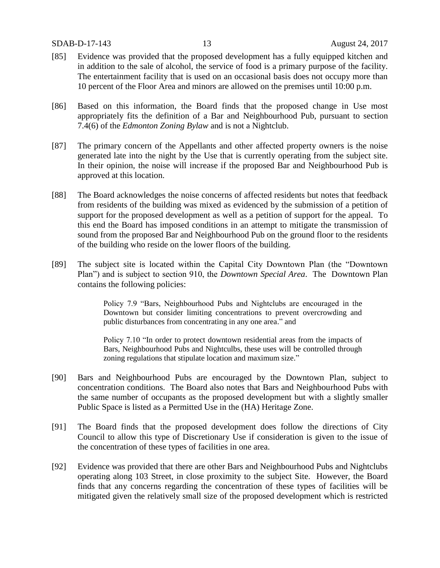#### SDAB-D-17-143 13 August 24, 2017

- [85] Evidence was provided that the proposed development has a fully equipped kitchen and in addition to the sale of alcohol, the service of food is a primary purpose of the facility. The entertainment facility that is used on an occasional basis does not occupy more than 10 percent of the Floor Area and minors are allowed on the premises until 10:00 p.m.
- [86] Based on this information, the Board finds that the proposed change in Use most appropriately fits the definition of a Bar and Neighbourhood Pub, pursuant to section 7.4(6) of the *Edmonton Zoning Bylaw* and is not a Nightclub.
- [87] The primary concern of the Appellants and other affected property owners is the noise generated late into the night by the Use that is currently operating from the subject site. In their opinion, the noise will increase if the proposed Bar and Neighbourhood Pub is approved at this location.
- [88] The Board acknowledges the noise concerns of affected residents but notes that feedback from residents of the building was mixed as evidenced by the submission of a petition of support for the proposed development as well as a petition of support for the appeal. To this end the Board has imposed conditions in an attempt to mitigate the transmission of sound from the proposed Bar and Neighbourhood Pub on the ground floor to the residents of the building who reside on the lower floors of the building.
- [89] The subject site is located within the Capital City Downtown Plan (the "Downtown Plan") and is subject to section 910, the *Downtown Special Area*. The Downtown Plan contains the following policies:

Policy 7.9 "Bars, Neighbourhood Pubs and Nightclubs are encouraged in the Downtown but consider limiting concentrations to prevent overcrowding and public disturbances from concentrating in any one area." and

Policy 7.10 "In order to protect downtown residential areas from the impacts of Bars, Neighbourhood Pubs and Nightculbs, these uses will be controlled through zoning regulations that stipulate location and maximum size."

- [90] Bars and Neighbourhood Pubs are encouraged by the Downtown Plan, subject to concentration conditions. The Board also notes that Bars and Neighbourhood Pubs with the same number of occupants as the proposed development but with a slightly smaller Public Space is listed as a Permitted Use in the (HA) Heritage Zone.
- [91] The Board finds that the proposed development does follow the directions of City Council to allow this type of Discretionary Use if consideration is given to the issue of the concentration of these types of facilities in one area.
- [92] Evidence was provided that there are other Bars and Neighbourhood Pubs and Nightclubs operating along 103 Street, in close proximity to the subject Site. However, the Board finds that any concerns regarding the concentration of these types of facilities will be mitigated given the relatively small size of the proposed development which is restricted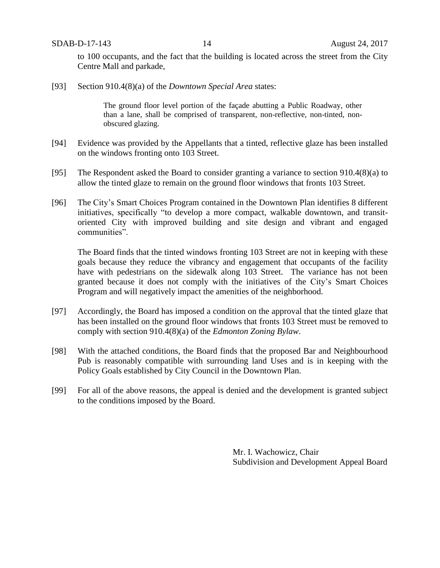SDAB-D-17-143 14 August 24, 2017

to 100 occupants, and the fact that the building is located across the street from the City Centre Mall and parkade,

[93] Section 910.4(8)(a) of the *Downtown Special Area* states:

The ground floor level portion of the façade abutting a Public Roadway, other than a lane, shall be comprised of transparent, non-reflective, non-tinted, nonobscured glazing.

- [94] Evidence was provided by the Appellants that a tinted, reflective glaze has been installed on the windows fronting onto 103 Street.
- [95] The Respondent asked the Board to consider granting a variance to section 910.4(8)(a) to allow the tinted glaze to remain on the ground floor windows that fronts 103 Street.
- [96] The City's Smart Choices Program contained in the Downtown Plan identifies 8 different initiatives, specifically "to develop a more compact, walkable downtown, and transitoriented City with improved building and site design and vibrant and engaged communities".

The Board finds that the tinted windows fronting 103 Street are not in keeping with these goals because they reduce the vibrancy and engagement that occupants of the facility have with pedestrians on the sidewalk along 103 Street. The variance has not been granted because it does not comply with the initiatives of the City's Smart Choices Program and will negatively impact the amenities of the neighborhood.

- [97] Accordingly, the Board has imposed a condition on the approval that the tinted glaze that has been installed on the ground floor windows that fronts 103 Street must be removed to comply with section 910.4(8)(a) of the *Edmonton Zoning Bylaw*.
- [98] With the attached conditions, the Board finds that the proposed Bar and Neighbourhood Pub is reasonably compatible with surrounding land Uses and is in keeping with the Policy Goals established by City Council in the Downtown Plan.
- [99] For all of the above reasons, the appeal is denied and the development is granted subject to the conditions imposed by the Board.

Mr. I. Wachowicz, Chair Subdivision and Development Appeal Board